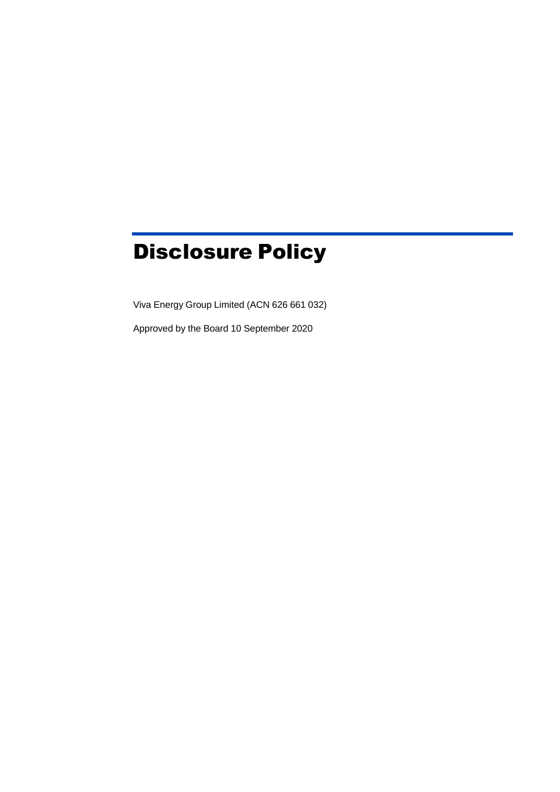# Disclosure Policy

Viva Energy Group Limited (ACN 626 661 032)

Approved by the Board 10 September 2020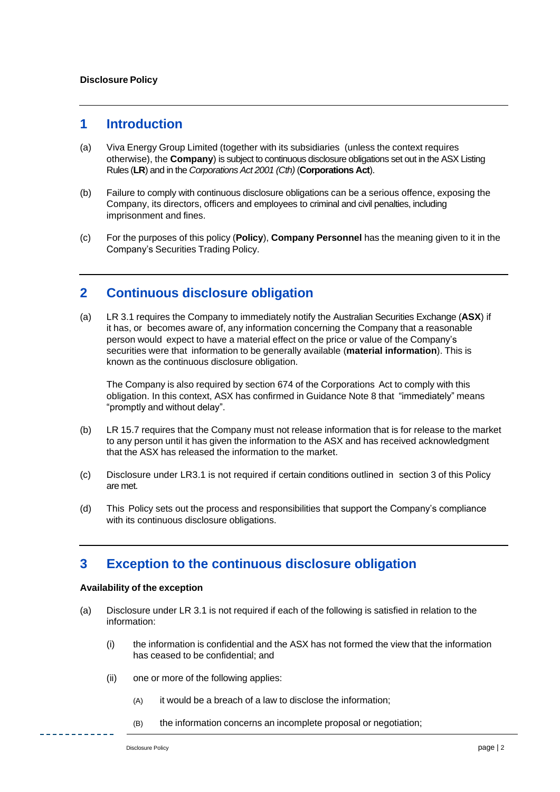#### **1 Introduction**

- (a) Viva Energy Group Limited (together with its subsidiaries (unless the context requires otherwise), the **Company**) is subject to continuous disclosure obligations set out in the ASX Listing Rules (**LR**) and in the *Corporations Act 2001 (Cth)* (**Corporations Act**).
- (b) Failure to comply with continuous disclosure obligations can be a serious offence, exposing the Company, its directors, officers and employees to criminal and civil penalties, including imprisonment and fines.
- (c) For the purposes of this policy (**Policy**), **Company Personnel** has the meaning given to it in the Company's Securities Trading Policy.

#### **2 Continuous disclosure obligation**

(a) LR 3.1 requires the Company to immediately notify the Australian Securities Exchange (**ASX**) if it has, or becomes aware of, any information concerning the Company that a reasonable person would expect to have a material effect on the price or value of the Company's securities were that information to be generally available (**material information**). This is known as the continuous disclosure obligation.

The Company is also required by section 674 of the Corporations Act to comply with this obligation. In this context, ASX has confirmed in Guidance Note 8 that "immediately" means "promptly and without delay".

- (b) LR 15.7 requires that the Company must not release information that is for release to the market to any person until it has given the information to the ASX and has received acknowledgment that the ASX has released the information to the market.
- (c) Disclosure under LR3.1 is not required if certain conditions outlined in section [3](#page-1-0) of this Policy are met.
- (d) This Policy sets out the process and responsibilities that support the Company's compliance with its continuous disclosure obligations.

#### <span id="page-1-0"></span>**3 Exception to the continuous disclosure obligation**

#### **Availability of the exception**

- (a) Disclosure under LR 3.1 is not required if each of the following is satisfied in relation to the information:
	- (i) the information is confidential and the ASX has not formed the view that the information has ceased to be confidential; and
	- (ii) one or more of the following applies:
		- (A) it would be a breach of a law to disclose the information;
		- (B) the information concerns an incomplete proposal or negotiation;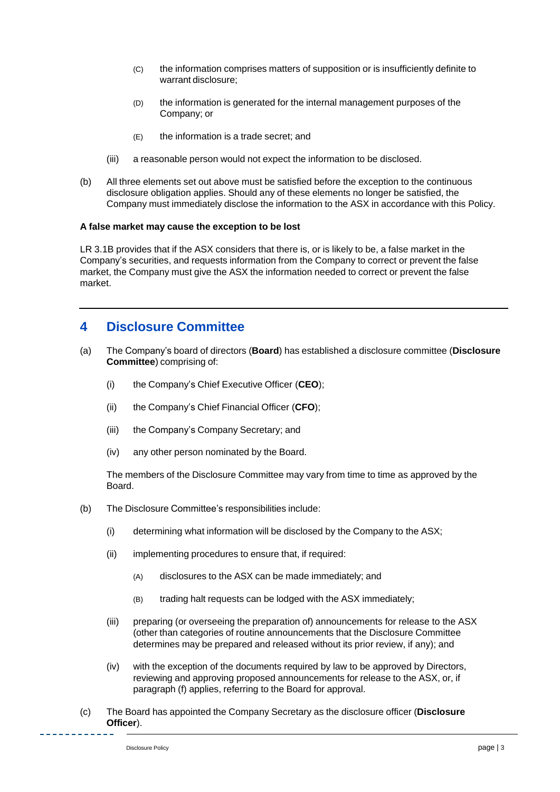- (C) the information comprises matters of supposition or is insufficiently definite to warrant disclosure;
- (D) the information is generated for the internal management purposes of the Company; or
- (E) the information is a trade secret; and
- (iii) a reasonable person would not expect the information to be disclosed.
- (b) All three elements set out above must be satisfied before the exception to the continuous disclosure obligation applies. Should any of these elements no longer be satisfied, the Company must immediately disclose the information to the ASX in accordance with this Policy.

#### **A false market may cause the exception to be lost**

LR 3.1B provides that if the ASX considers that there is, or is likely to be, a false market in the Company's securities, and requests information from the Company to correct or prevent the false market, the Company must give the ASX the information needed to correct or prevent the false market.

## **4 Disclosure Committee**

- <span id="page-2-0"></span>(a) The Company's board of directors (**Board**) has established a disclosure committee (**Disclosure Committee**) comprising of:
	- (i) the Company's Chief Executive Officer (**CEO**);
	- (ii) the Company's Chief Financial Officer (**CFO**);
	- (iii) the Company's Company Secretary; and
	- (iv) any other person nominated by the Board.

The members of the Disclosure Committee may vary from time to time as approved by the Board.

- (b) The Disclosure Committee's responsibilities include:
	- (i) determining what information will be disclosed by the Company to the ASX;
	- (ii) implementing procedures to ensure that, if required:
		- (A) disclosures to the ASX can be made immediately; and
		- (B) trading halt requests can be lodged with the ASX immediately;
	- (iii) preparing (or overseeing the preparation of) announcements for release to the ASX (other than categories of routine announcements that the Disclosure Committee determines may be prepared and released without its prior review, if any); and
	- (iv) with the exception of the documents required by law to be approved by Directors, reviewing and approving proposed announcements for release to the ASX, or, if paragraph [\(f\)](#page-3-0) applies, referring to the Board for approval.
- (c) The Board has appointed the Company Secretary as the disclosure officer (**Disclosure Officer**).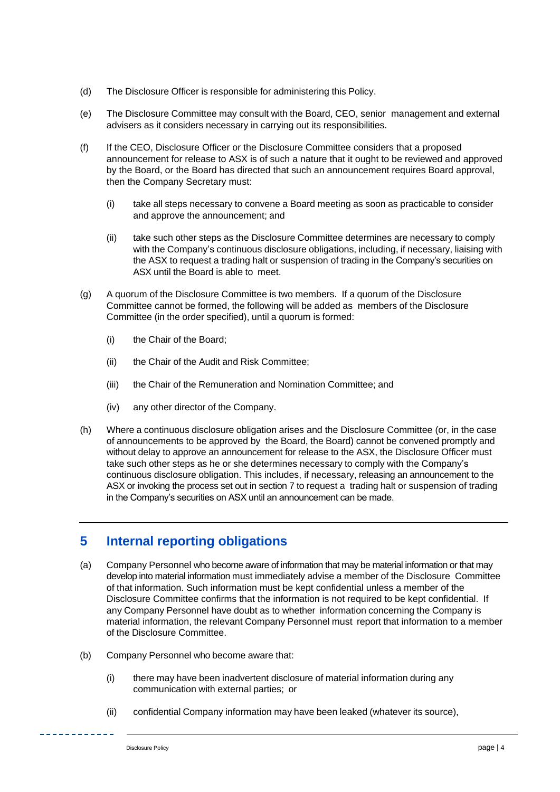- (d) The Disclosure Officer is responsible for administering this Policy.
- (e) The Disclosure Committee may consult with the Board, CEO, senior management and external advisers as it considers necessary in carrying out its responsibilities.
- <span id="page-3-0"></span>(f) If the CEO, Disclosure Officer or the Disclosure Committee considers that a proposed announcement for release to ASX is of such a nature that it ought to be reviewed and approved by the Board, or the Board has directed that such an announcement requires Board approval, then the Company Secretary must:
	- (i) take all steps necessary to convene a Board meeting as soon as practicable to consider and approve the announcement; and
	- (ii) take such other steps as the Disclosure Committee determines are necessary to comply with the Company's continuous disclosure obligations, including, if necessary, liaising with the ASX to request a trading halt or suspension of trading in the Company's securities on ASX until the Board is able to meet.
- (g) A quorum of the Disclosure Committee is two members. If a quorum of the Disclosure Committee cannot be forme[d,](#page-2-0) the following will be added as members of the Disclosure Committee (in the order specified), until a quorum is formed:
	- (i) the Chair of the Board;
	- (ii) the Chair of the Audit and Risk Committee;
	- (iii) the Chair of the Remuneration and Nomination Committee; and
	- (iv) any other director of the Company.
- (h) Where a continuous disclosure obligation arises and the Disclosure Committee (or, in the case of announcements to be approved by the Board, the Board) cannot be convened promptly and without delay to approve an announcement for release to the ASX, the Disclosure Officer must take such other steps as he or she determines necessary to comply with the Company's continuous disclosure obligation. This includes, if necessary, releasing an announcement to the ASX or invoking the process set out in section 7 to request a trading halt or suspension of trading in the Company's securities on ASX until an announcement can be made.

#### **5 Internal reporting obligations**

- (a) Company Personnel who become aware of information that may be material information or that may develop into material information must immediately advise a member of the Disclosure Committee of that information. Such information must be kept confidential unless a member of the Disclosure Committee confirms that the information is not required to be kept confidential. If any Company Personnel have doubt as to whether information concerning the Company is material information, the relevant Company Personnel must report that information to a member of the Disclosure Committee.
- (b) Company Personnel who become aware that:
	- (i) there may have been inadvertent disclosure of material information during any communication with external parties; or
	- (ii) confidential Company information may have been leaked (whatever its source),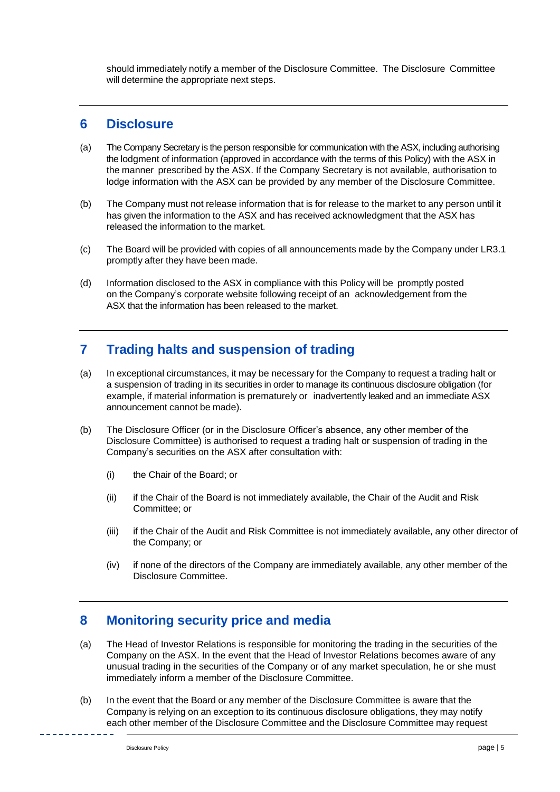should immediately notify a member of the Disclosure Committee. The Disclosure Committee will determine the appropriate next steps.

#### **6 Disclosure**

- (a) The Company Secretary is the person responsible for communication with the ASX, including authorising the lodgment of information (approved in accordance with the terms of this Policy) with the ASX in the manner prescribed by the ASX. If the Company Secretary is not available, authorisation to lodge information with the ASX can be provided by any member of the Disclosure Committee.
- (b) The Company must not release information that is for release to the market to any person until it has given the information to the ASX and has received acknowledgment that the ASX has released the information to the market.
- (c) The Board will be provided with copies of all announcements made by the Company under LR3.1 promptly after they have been made.
- (d) Information disclosed to the ASX in compliance with this Policy will be promptly posted on the Company's corporate website following receipt of an acknowledgement from the ASX that the information has been released to the market.

# **7 Trading halts and suspension of trading**

- (a) In exceptional circumstances, it may be necessary for the Company to request a trading halt or a suspension of trading in its securities in order to manage its continuous disclosure obligation (for example, if material information is prematurely or inadvertently leaked and an immediate ASX announcement cannot be made).
- (b) The Disclosure Officer (or in the Disclosure Officer's absence, any other member of the Disclosure Committee) is authorised to request a trading halt or suspension of trading in the Company's securities on the ASX after consultation with:
	- (i) the Chair of the Board; or
	- (ii) if the Chair of the Board is not immediately available, the Chair of the Audit and Risk Committee; or
	- (iii) if the Chair of the Audit and Risk Committee is not immediately available, any other director of the Company; or
	- (iv) if none of the directors of the Company are immediately available, any other member of the Disclosure Committee.

# **8 Monitoring security price and media**

- (a) The Head of Investor Relations is responsible for monitoring the trading in the securities of the Company on the ASX. In the event that the Head of Investor Relations becomes aware of any unusual trading in the securities of the Company or of any market speculation, he or she must immediately inform a member of the Disclosure Committee.
- (b) In the event that the Board or any member of the Disclosure Committee is aware that the Company is relying on an exception to its continuous disclosure obligations, they may notify each other member of the Disclosure Committee and the Disclosure Committee may request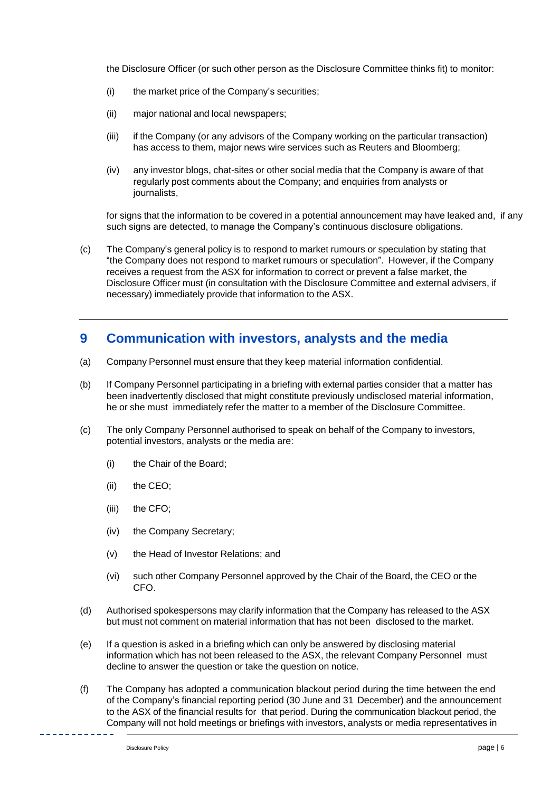the Disclosure Officer (or such other person as the Disclosure Committee thinks fit) to monitor:

- (i) the market price of the Company's securities;
- (ii) major national and local newspapers;
- (iii) if the Company (or any advisors of the Company working on the particular transaction) has access to them, major news wire services such as Reuters and Bloomberg;
- (iv) any investor blogs, chat-sites or other social media that the Company is aware of that regularly post comments about the Company; and enquiries from analysts or journalists,

for signs that the information to be covered in a potential announcement may have leaked and, if any such signs are detected, to manage the Company's continuous disclosure obligations.

(c) The Company's general policy is to respond to market rumours or speculation by stating that "the Company does not respond to market rumours or speculation". However, if the Company receives a request from the ASX for information to correct or prevent a false market, the Disclosure Officer must (in consultation with the Disclosure Committee and external advisers, if necessary) immediately provide that information to the ASX.

# **9 Communication with investors, analysts and the media**

- (a) Company Personnel must ensure that they keep material information confidential.
- (b) If Company Personnel participating in a briefing with external parties consider that a matter has been inadvertently disclosed that might constitute previously undisclosed material information, he or she must immediately refer the matter to a member of the Disclosure Committee.
- (c) The only Company Personnel authorised to speak on behalf of the Company to investors, potential investors, analysts or the media are:
	- (i) the Chair of the Board;
	- (ii) the CEO;
	- (iii) the CFO;
	- (iv) the Company Secretary;
	- (v) the Head of Investor Relations; and
	- (vi) such other Company Personnel approved by the Chair of the Board, the CEO or the CFO.
- (d) Authorised spokespersons may clarify information that the Company has released to the ASX but must not comment on material information that has not been disclosed to the market.
- (e) If a question is asked in a briefing which can only be answered by disclosing material information which has not been released to the ASX, the relevant Company Personnel must decline to answer the question or take the question on notice.
- (f) The Company has adopted a communication blackout period during the time between the end of the Company's financial reporting period (30 June and 31 December) and the announcement to the ASX of the financial results for that period. During the communication blackout period, the Company will not hold meetings or briefings with investors, analysts or media representatives in